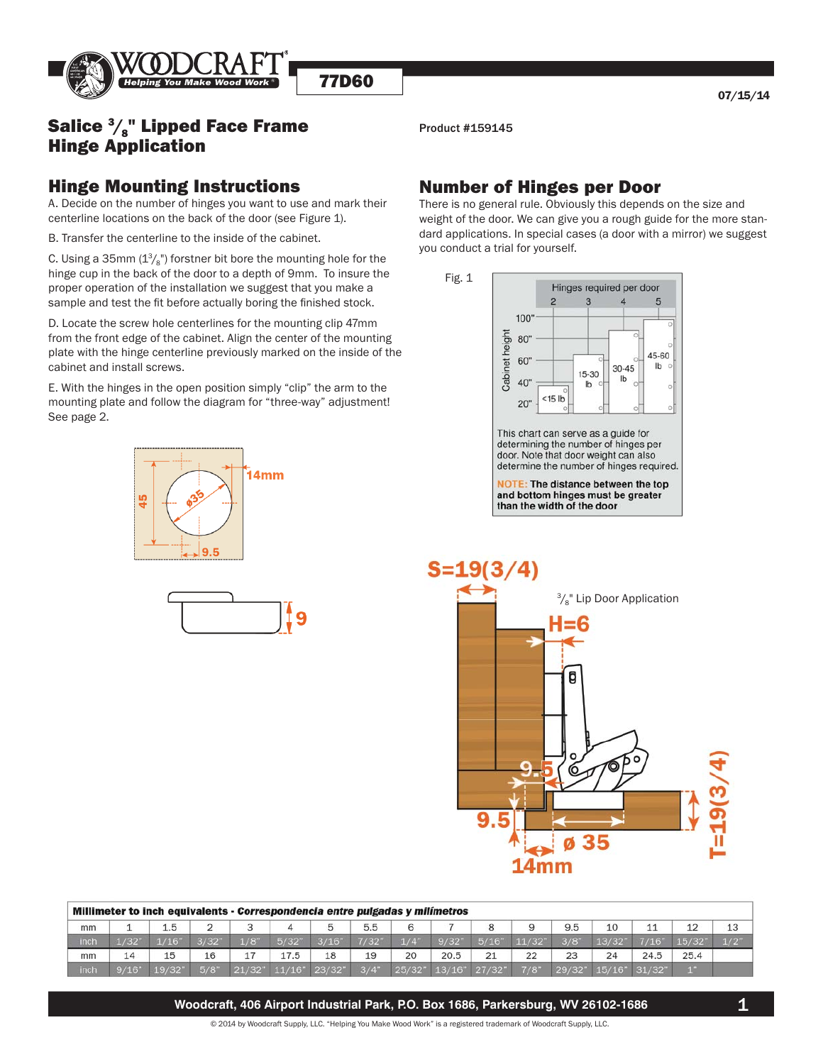

# **Salice**  $\frac{3}{8}$ **" Lipped Face Frame** Product #159145 Hinge Application

#### Hinge Mounting Instructions

A. Decide on the number of hinges you want to use and mark their centerline locations on the back of the door (see Figure 1).

B. Transfer the centerline to the inside of the cabinet.

C. Using a 35mm  $\left(1\%\{1\}\right)$  forstner bit bore the mounting hole for the hinge cup in the back of the door to a depth of 9mm. To insure the proper operation of the installation we suggest that you make a sample and test the fit before actually boring the finished stock.

D. Locate the screw hole centerlines for the mounting clip 47mm from the front edge of the cabinet. Align the center of the mounting plate with the hinge centerline previously marked on the inside of the cabinet and install screws.

E. With the hinges in the open position simply "clip" the arm to the mounting plate and follow the diagram for "three-way" adjustment! See page 2.





### Number of Hinges per Door

There is no general rule. Obviously this depends on the size and weight of the door. We can give you a rough guide for the more stan dard applications. In special cases (a door with a mirror) we suggest you conduct a trial for yourself.



This chart can serve as a guide for determining the number of hinges per door. Note that door weight can also determine the number of hinges required.

**NOTE: The distance between the top** and bottom hinges must be greater than the width of the door



| Millimeter to inch equivalents - Correspondencia entre pulgadas y milímetros |       |       |       |                    |        |        |         |                    |        |         |       |       |        |        |              |     |
|------------------------------------------------------------------------------|-------|-------|-------|--------------------|--------|--------|---------|--------------------|--------|---------|-------|-------|--------|--------|--------------|-----|
| mm                                                                           |       | 1.5   |       |                    | 4      |        | 5.5     |                    |        | 8       |       | 9.5   | 10     | 11     | 12           | 13  |
| inch                                                                         | 1/32' |       | 3/32' | $1/8$ <sup>"</sup> | 5/32'  | 3/16'  | 7/32'   | $1/4$ <sup>"</sup> | 9/32   | 5/16    | 11/32 | 3/8'  | 13/32  | 7/16"  | 15/32        | 1/2 |
| mm                                                                           | 14    | 15    | 16    | 17                 | 17.5   | 18     | 19      | 20                 | 20.5   | 21      | 22    | 23    | 24     | 24.5   | 25.4         |     |
| inch                                                                         | 9/16" | 19/32 | 5/8"  | 21/32"             | 11/16" | 23/32" | $3/4$ " | 25/327             | 13/16" | 127/32" | 7/8'  | 29/32 | 15/16" | 31/32" | <b>COLOR</b> |     |

**Woodcraft, 406 Airport Industrial Park, P.O. Box 1686, Parkersburg, WV 26102-1686**

© 2014 by Woodcraft Supply, LLC. "Helping You Make Wood Work" is a registered trademark of Woodcraft Supply, LLC.